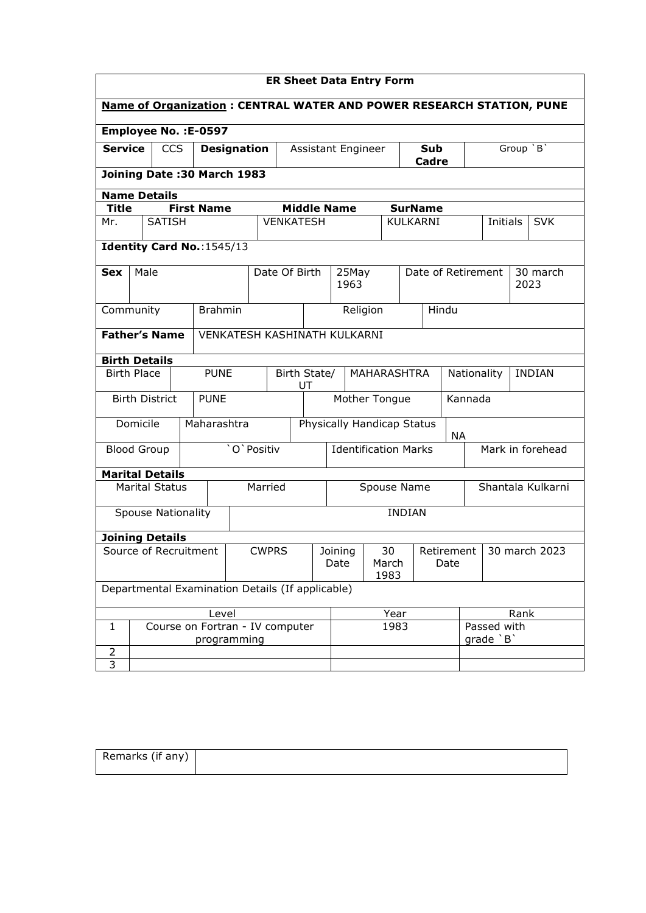| <b>ER Sheet Data Entry Form</b>                         |                                                                             |               |                                                  |              |                                                    |                                         |                                        |                  |                    |                 |           |                    |             |      |                  |
|---------------------------------------------------------|-----------------------------------------------------------------------------|---------------|--------------------------------------------------|--------------|----------------------------------------------------|-----------------------------------------|----------------------------------------|------------------|--------------------|-----------------|-----------|--------------------|-------------|------|------------------|
|                                                         | <b>Name of Organization: CENTRAL WATER AND POWER RESEARCH STATION, PUNE</b> |               |                                                  |              |                                                    |                                         |                                        |                  |                    |                 |           |                    |             |      |                  |
| Employee No. : E-0597                                   |                                                                             |               |                                                  |              |                                                    |                                         |                                        |                  |                    |                 |           |                    |             |      |                  |
|                                                         | <b>Service</b><br><b>CCS</b><br><b>Designation</b><br>Assistant Engineer    |               |                                                  |              |                                                    |                                         |                                        |                  | Sub<br>Cadre       |                 | Group `B` |                    |             |      |                  |
| Joining Date: 30 March 1983                             |                                                                             |               |                                                  |              |                                                    |                                         |                                        |                  |                    |                 |           |                    |             |      |                  |
| <b>Name Details</b>                                     |                                                                             |               |                                                  |              |                                                    |                                         |                                        |                  |                    |                 |           |                    |             |      |                  |
| <b>Title</b>                                            |                                                                             |               | <b>First Name</b>                                |              |                                                    |                                         | <b>Middle Name</b>                     |                  |                    | <b>SurName</b>  |           |                    |             |      |                  |
| Mr.                                                     |                                                                             | <b>SATISH</b> |                                                  |              | <b>VENKATESH</b>                                   |                                         |                                        |                  |                    | <b>KULKARNI</b> |           |                    | Initials    |      | <b>SVK</b>       |
|                                                         | Identity Card No.: 1545/13                                                  |               |                                                  |              |                                                    |                                         |                                        |                  |                    |                 |           |                    |             |      |                  |
| <b>Sex</b>                                              | Male                                                                        |               |                                                  |              | Date Of Birth                                      |                                         | 25May<br>1963                          |                  |                    |                 |           | Date of Retirement |             |      | 30 march<br>2023 |
|                                                         | <b>Brahmin</b><br>Community                                                 |               |                                                  |              |                                                    |                                         |                                        | Religion         |                    |                 | Hindu     |                    |             |      |                  |
|                                                         | <b>Father's Name</b><br>VENKATESH KASHINATH KULKARNI                        |               |                                                  |              |                                                    |                                         |                                        |                  |                    |                 |           |                    |             |      |                  |
|                                                         |                                                                             |               |                                                  |              |                                                    |                                         |                                        |                  |                    |                 |           |                    |             |      |                  |
| <b>Birth Details</b>                                    |                                                                             |               |                                                  |              |                                                    |                                         |                                        |                  |                    |                 |           |                    |             |      |                  |
| <b>PUNE</b><br><b>Birth Place</b><br>Birth State/<br>UT |                                                                             |               |                                                  |              | <b>MAHARASHTRA</b><br><b>INDIAN</b><br>Nationality |                                         |                                        |                  |                    |                 |           |                    |             |      |                  |
| <b>Birth District</b><br>Mother Tongue<br><b>PUNE</b>   |                                                                             |               |                                                  |              |                                                    |                                         |                                        |                  | Kannada            |                 |           |                    |             |      |                  |
|                                                         | Domicile                                                                    |               | Maharashtra                                      |              |                                                    | Physically Handicap Status<br><b>NA</b> |                                        |                  |                    |                 |           |                    |             |      |                  |
|                                                         | 'O' Positiv<br><b>Blood Group</b>                                           |               |                                                  |              | <b>Identification Marks</b>                        |                                         |                                        | Mark in forehead |                    |                 |           |                    |             |      |                  |
| <b>Marital Details</b>                                  |                                                                             |               |                                                  |              |                                                    |                                         |                                        |                  |                    |                 |           |                    |             |      |                  |
| Married<br><b>Marital Status</b>                        |                                                                             |               |                                                  |              | Shantala Kulkarni<br>Spouse Name                   |                                         |                                        |                  |                    |                 |           |                    |             |      |                  |
| <b>Spouse Nationality</b>                               |                                                                             |               |                                                  |              | <b>INDIAN</b>                                      |                                         |                                        |                  |                    |                 |           |                    |             |      |                  |
| <b>Joining Details</b>                                  |                                                                             |               |                                                  |              |                                                    |                                         |                                        |                  |                    |                 |           |                    |             |      |                  |
| Source of Recruitment                                   |                                                                             |               |                                                  | <b>CWPRS</b> |                                                    |                                         | 30<br>Joining<br>Date<br>March<br>1983 |                  | Retirement<br>Date |                 |           | 30 march 2023      |             |      |                  |
|                                                         |                                                                             |               | Departmental Examination Details (If applicable) |              |                                                    |                                         |                                        |                  |                    |                 |           |                    |             |      |                  |
|                                                         |                                                                             |               | Level                                            |              |                                                    |                                         |                                        |                  | Year               |                 |           |                    |             | Rank |                  |
| 1                                                       |                                                                             |               | Course on Fortran - IV computer                  |              |                                                    |                                         |                                        |                  | 1983               |                 |           |                    | Passed with |      |                  |
| 2                                                       |                                                                             |               |                                                  | programming  |                                                    |                                         |                                        |                  |                    |                 |           |                    | qrade `B`   |      |                  |
| 3                                                       |                                                                             |               |                                                  |              |                                                    |                                         |                                        |                  |                    |                 |           |                    |             |      |                  |

| Remarks (if any) |  |
|------------------|--|
|                  |  |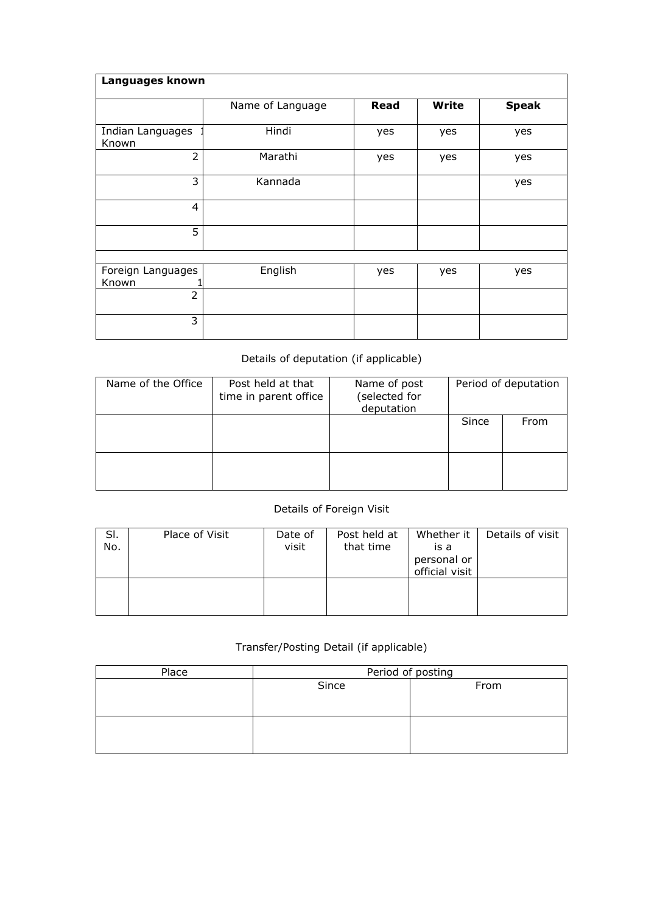| Languages known            |                  |             |       |              |
|----------------------------|------------------|-------------|-------|--------------|
|                            | Name of Language | <b>Read</b> | Write | <b>Speak</b> |
| Indian Languages<br>Known  | Hindi            | yes         | yes   | yes          |
| $\overline{2}$             | Marathi          | yes         | yes   | yes          |
| 3                          | Kannada          |             |       | yes          |
| $\overline{4}$             |                  |             |       |              |
| 5                          |                  |             |       |              |
|                            |                  |             |       |              |
| Foreign Languages<br>Known | English          | yes         | yes   | yes          |
| $\overline{2}$             |                  |             |       |              |
| 3                          |                  |             |       |              |

## Details of deputation (if applicable)

| Name of the Office | Post held at that<br>time in parent office | Name of post<br>(selected for<br>deputation |       | Period of deputation |
|--------------------|--------------------------------------------|---------------------------------------------|-------|----------------------|
|                    |                                            |                                             | Since | From                 |
|                    |                                            |                                             |       |                      |

## Details of Foreign Visit

| SI.<br>No. | Place of Visit | Date of<br>visit | Post held at<br>that time | Whether it<br>is a<br>personal or<br>official visit | Details of visit |
|------------|----------------|------------------|---------------------------|-----------------------------------------------------|------------------|
|            |                |                  |                           |                                                     |                  |

## Transfer/Posting Detail (if applicable)

| Place |       | Period of posting |
|-------|-------|-------------------|
|       | Since | From              |
|       |       |                   |
|       |       |                   |
|       |       |                   |
|       |       |                   |
|       |       |                   |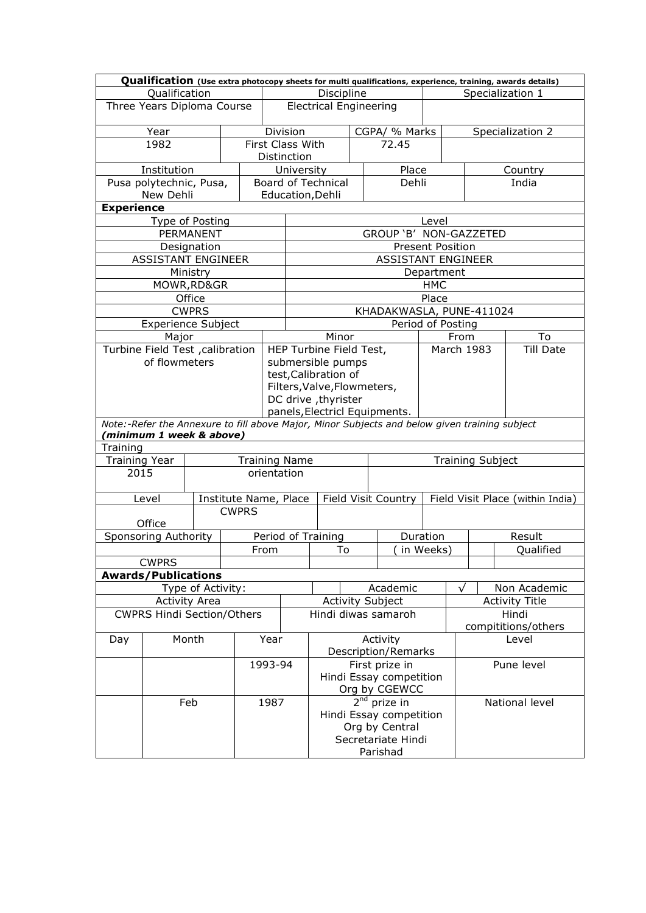|                                                      |                                                                                               |  |                       | Qualification (Use extra photocopy sheets for multi qualifications, experience, training, awards details) |                                                       |                           |                     |                                      |                              |                         |                                  |                       |  |
|------------------------------------------------------|-----------------------------------------------------------------------------------------------|--|-----------------------|-----------------------------------------------------------------------------------------------------------|-------------------------------------------------------|---------------------------|---------------------|--------------------------------------|------------------------------|-------------------------|----------------------------------|-----------------------|--|
|                                                      | Qualification                                                                                 |  |                       |                                                                                                           | Discipline                                            |                           |                     |                                      |                              | Specialization 1        |                                  |                       |  |
|                                                      | Three Years Diploma Course                                                                    |  |                       |                                                                                                           | <b>Electrical Engineering</b>                         |                           |                     |                                      |                              |                         |                                  |                       |  |
|                                                      | Year                                                                                          |  |                       |                                                                                                           | <b>Division</b>                                       |                           |                     | CGPA/ % Marks                        |                              |                         | Specialization 2                 |                       |  |
|                                                      | 1982                                                                                          |  |                       |                                                                                                           | First Class With                                      |                           |                     | 72.45                                |                              |                         |                                  |                       |  |
|                                                      |                                                                                               |  |                       |                                                                                                           | Distinction                                           |                           |                     |                                      |                              |                         |                                  |                       |  |
|                                                      | Institution                                                                                   |  |                       |                                                                                                           | University                                            |                           |                     | Place                                |                              |                         |                                  | Country               |  |
|                                                      | Pusa polytechnic, Pusa,                                                                       |  |                       |                                                                                                           |                                                       | <b>Board of Technical</b> |                     | Dehli                                |                              |                         |                                  | India                 |  |
|                                                      | New Dehli                                                                                     |  |                       |                                                                                                           |                                                       | Education, Dehli          |                     |                                      |                              |                         |                                  |                       |  |
| <b>Experience</b>                                    |                                                                                               |  |                       |                                                                                                           |                                                       |                           |                     |                                      |                              |                         |                                  |                       |  |
|                                                      | Type of Posting<br>PERMANENT                                                                  |  |                       |                                                                                                           |                                                       |                           |                     | GROUP 'B' NON-GAZZETED               | Level                        |                         |                                  |                       |  |
|                                                      | Designation                                                                                   |  |                       |                                                                                                           |                                                       |                           |                     |                                      | <b>Present Position</b>      |                         |                                  |                       |  |
|                                                      | <b>ASSISTANT ENGINEER</b>                                                                     |  |                       |                                                                                                           |                                                       |                           |                     | <b>ASSISTANT ENGINEER</b>            |                              |                         |                                  |                       |  |
|                                                      | Ministry                                                                                      |  |                       |                                                                                                           |                                                       |                           |                     |                                      | Department                   |                         |                                  |                       |  |
|                                                      | MOWR, RD&GR                                                                                   |  |                       |                                                                                                           |                                                       |                           |                     |                                      | <b>HMC</b>                   |                         |                                  |                       |  |
|                                                      | Office                                                                                        |  |                       |                                                                                                           |                                                       |                           |                     |                                      | Place                        |                         |                                  |                       |  |
|                                                      | <b>CWPRS</b>                                                                                  |  |                       |                                                                                                           |                                                       |                           |                     | KHADAKWASLA, PUNE-411024             |                              |                         |                                  |                       |  |
|                                                      | <b>Experience Subject</b>                                                                     |  |                       |                                                                                                           |                                                       |                           |                     | Period of Posting                    |                              |                         |                                  |                       |  |
|                                                      | Major                                                                                         |  |                       |                                                                                                           |                                                       | Minor                     |                     |                                      |                              | From                    |                                  | To                    |  |
|                                                      | Turbine Field Test , calibration                                                              |  |                       |                                                                                                           |                                                       | HEP Turbine Field Test,   |                     |                                      |                              |                         | March 1983                       | <b>Till Date</b>      |  |
|                                                      | of flowmeters                                                                                 |  |                       |                                                                                                           |                                                       | submersible pumps         |                     |                                      |                              |                         |                                  |                       |  |
|                                                      |                                                                                               |  |                       |                                                                                                           |                                                       | test, Calibration of      |                     |                                      |                              |                         |                                  |                       |  |
|                                                      |                                                                                               |  |                       |                                                                                                           | Filters, Valve, Flowmeters,                           |                           |                     |                                      |                              |                         |                                  |                       |  |
|                                                      |                                                                                               |  |                       |                                                                                                           | DC drive , thyrister<br>panels, Electricl Equipments. |                           |                     |                                      |                              |                         |                                  |                       |  |
|                                                      | Note:-Refer the Annexure to fill above Major, Minor Subjects and below given training subject |  |                       |                                                                                                           |                                                       |                           |                     |                                      |                              |                         |                                  |                       |  |
|                                                      | (minimum 1 week & above)                                                                      |  |                       |                                                                                                           |                                                       |                           |                     |                                      |                              |                         |                                  |                       |  |
| Training                                             |                                                                                               |  |                       |                                                                                                           |                                                       |                           |                     |                                      |                              |                         |                                  |                       |  |
| <b>Training Year</b><br><b>Training Name</b><br>2015 |                                                                                               |  |                       | orientation                                                                                               |                                                       |                           |                     |                                      |                              | <b>Training Subject</b> |                                  |                       |  |
|                                                      |                                                                                               |  |                       |                                                                                                           |                                                       |                           |                     |                                      |                              |                         |                                  |                       |  |
|                                                      | Level                                                                                         |  | Institute Name, Place |                                                                                                           | Field Visit Country                                   |                           |                     |                                      |                              |                         | Field Visit Place (within India) |                       |  |
|                                                      |                                                                                               |  | <b>CWPRS</b>          |                                                                                                           |                                                       |                           |                     |                                      |                              |                         |                                  |                       |  |
|                                                      | Office                                                                                        |  |                       |                                                                                                           |                                                       |                           |                     |                                      |                              |                         |                                  |                       |  |
| Sponsoring Authority                                 |                                                                                               |  |                       |                                                                                                           | Period of Training                                    |                           |                     | Duration                             |                              |                         | Result                           |                       |  |
|                                                      |                                                                                               |  | From                  |                                                                                                           | To                                                    |                           | in Weeks)           |                                      |                              |                         | Qualified                        |                       |  |
| <b>CWPRS</b>                                         |                                                                                               |  |                       |                                                                                                           |                                                       |                           |                     |                                      |                              |                         |                                  |                       |  |
|                                                      | <b>Awards/Publications</b>                                                                    |  |                       |                                                                                                           |                                                       |                           |                     |                                      |                              |                         |                                  |                       |  |
| Type of Activity:                                    |                                                                                               |  |                       |                                                                                                           |                                                       | Academic                  |                     |                                      |                              | $\sqrt{}$               |                                  | Non Academic          |  |
| <b>Activity Area</b>                                 |                                                                                               |  |                       |                                                                                                           |                                                       | <b>Activity Subject</b>   |                     |                                      |                              |                         |                                  | <b>Activity Title</b> |  |
| <b>CWPRS Hindi Section/Others</b>                    |                                                                                               |  |                       | Hindi diwas samaroh                                                                                       |                                                       |                           |                     |                                      | Hindi<br>compititions/others |                         |                                  |                       |  |
| Month<br>Day                                         |                                                                                               |  | Year                  |                                                                                                           |                                                       |                           | Activity            |                                      |                              |                         | Level                            |                       |  |
|                                                      |                                                                                               |  |                       |                                                                                                           |                                                       |                           | Description/Remarks |                                      |                              |                         |                                  |                       |  |
|                                                      | 1993-94                                                                                       |  |                       |                                                                                                           |                                                       |                           | First prize in      |                                      |                              |                         | Pune level                       |                       |  |
|                                                      |                                                                                               |  |                       |                                                                                                           |                                                       |                           |                     | Hindi Essay competition              |                              |                         |                                  |                       |  |
|                                                      |                                                                                               |  |                       |                                                                                                           | Org by CGEWCC                                         |                           |                     |                                      |                              |                         |                                  |                       |  |
|                                                      |                                                                                               |  |                       |                                                                                                           |                                                       |                           |                     | $\overline{2}^{\text{nd}}$ prize in  |                              |                         | National level                   |                       |  |
|                                                      | Feb                                                                                           |  |                       | 1987                                                                                                      |                                                       |                           |                     |                                      |                              |                         |                                  |                       |  |
|                                                      |                                                                                               |  |                       |                                                                                                           |                                                       |                           |                     | Hindi Essay competition              |                              |                         |                                  |                       |  |
|                                                      |                                                                                               |  |                       |                                                                                                           |                                                       |                           |                     | Org by Central<br>Secretariate Hindi |                              |                         |                                  |                       |  |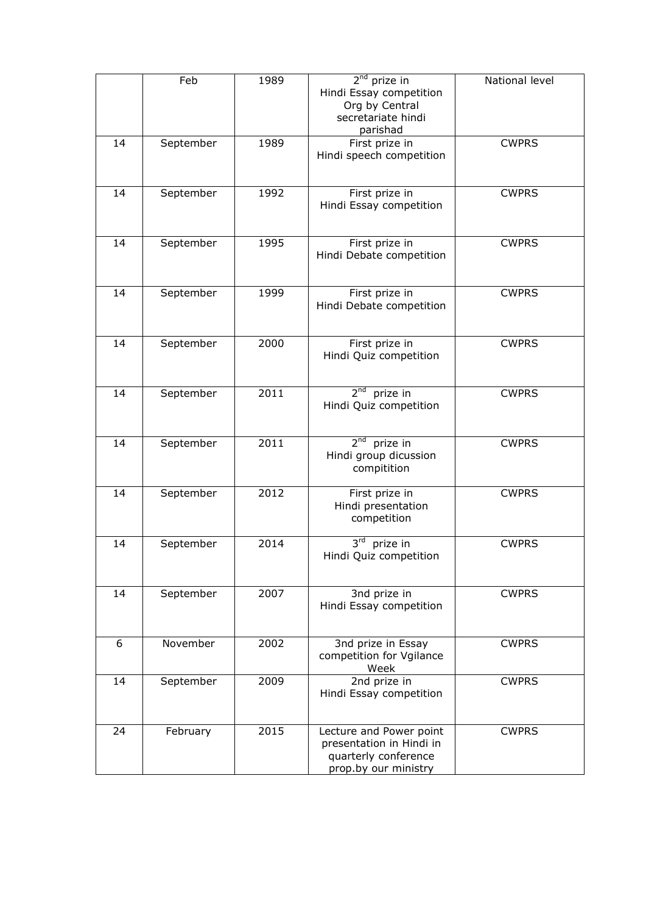| 2 <sup>nd</sup> prize in<br>National level<br>Feb<br>1989<br>Hindi Essay competition<br>Org by Central<br>secretariate hindi<br>parishad<br>September<br>1989<br>First prize in<br><b>CWPRS</b><br>14<br>Hindi speech competition<br>First prize in<br>September<br>1992<br><b>CWPRS</b><br>14<br>Hindi Essay competition<br>1995<br>First prize in<br><b>CWPRS</b><br>14<br>September<br>Hindi Debate competition<br>1999<br><b>CWPRS</b><br>14<br>September<br>First prize in<br>Hindi Debate competition<br>2000<br>First prize in<br><b>CWPRS</b><br>14<br>September<br>Hindi Quiz competition<br>$2nd$ prize in<br>2011<br>September<br><b>CWPRS</b><br>14<br>Hindi Quiz competition<br>2 <sup>nd</sup><br>prize in<br>2011<br>September<br><b>CWPRS</b><br>14<br>Hindi group dicussion<br>compitition<br>2012<br>First prize in<br>14<br>September<br><b>CWPRS</b><br>Hindi presentation<br>competition<br>2014<br>3rd prize in<br>14<br>September<br><b>CWPRS</b><br>Hindi Quiz competition |
|----------------------------------------------------------------------------------------------------------------------------------------------------------------------------------------------------------------------------------------------------------------------------------------------------------------------------------------------------------------------------------------------------------------------------------------------------------------------------------------------------------------------------------------------------------------------------------------------------------------------------------------------------------------------------------------------------------------------------------------------------------------------------------------------------------------------------------------------------------------------------------------------------------------------------------------------------------------------------------------------------|
|                                                                                                                                                                                                                                                                                                                                                                                                                                                                                                                                                                                                                                                                                                                                                                                                                                                                                                                                                                                                    |
|                                                                                                                                                                                                                                                                                                                                                                                                                                                                                                                                                                                                                                                                                                                                                                                                                                                                                                                                                                                                    |
|                                                                                                                                                                                                                                                                                                                                                                                                                                                                                                                                                                                                                                                                                                                                                                                                                                                                                                                                                                                                    |
|                                                                                                                                                                                                                                                                                                                                                                                                                                                                                                                                                                                                                                                                                                                                                                                                                                                                                                                                                                                                    |
|                                                                                                                                                                                                                                                                                                                                                                                                                                                                                                                                                                                                                                                                                                                                                                                                                                                                                                                                                                                                    |
|                                                                                                                                                                                                                                                                                                                                                                                                                                                                                                                                                                                                                                                                                                                                                                                                                                                                                                                                                                                                    |
|                                                                                                                                                                                                                                                                                                                                                                                                                                                                                                                                                                                                                                                                                                                                                                                                                                                                                                                                                                                                    |
|                                                                                                                                                                                                                                                                                                                                                                                                                                                                                                                                                                                                                                                                                                                                                                                                                                                                                                                                                                                                    |
|                                                                                                                                                                                                                                                                                                                                                                                                                                                                                                                                                                                                                                                                                                                                                                                                                                                                                                                                                                                                    |
|                                                                                                                                                                                                                                                                                                                                                                                                                                                                                                                                                                                                                                                                                                                                                                                                                                                                                                                                                                                                    |
|                                                                                                                                                                                                                                                                                                                                                                                                                                                                                                                                                                                                                                                                                                                                                                                                                                                                                                                                                                                                    |
|                                                                                                                                                                                                                                                                                                                                                                                                                                                                                                                                                                                                                                                                                                                                                                                                                                                                                                                                                                                                    |
|                                                                                                                                                                                                                                                                                                                                                                                                                                                                                                                                                                                                                                                                                                                                                                                                                                                                                                                                                                                                    |
|                                                                                                                                                                                                                                                                                                                                                                                                                                                                                                                                                                                                                                                                                                                                                                                                                                                                                                                                                                                                    |
|                                                                                                                                                                                                                                                                                                                                                                                                                                                                                                                                                                                                                                                                                                                                                                                                                                                                                                                                                                                                    |
|                                                                                                                                                                                                                                                                                                                                                                                                                                                                                                                                                                                                                                                                                                                                                                                                                                                                                                                                                                                                    |
|                                                                                                                                                                                                                                                                                                                                                                                                                                                                                                                                                                                                                                                                                                                                                                                                                                                                                                                                                                                                    |
|                                                                                                                                                                                                                                                                                                                                                                                                                                                                                                                                                                                                                                                                                                                                                                                                                                                                                                                                                                                                    |
|                                                                                                                                                                                                                                                                                                                                                                                                                                                                                                                                                                                                                                                                                                                                                                                                                                                                                                                                                                                                    |
|                                                                                                                                                                                                                                                                                                                                                                                                                                                                                                                                                                                                                                                                                                                                                                                                                                                                                                                                                                                                    |
|                                                                                                                                                                                                                                                                                                                                                                                                                                                                                                                                                                                                                                                                                                                                                                                                                                                                                                                                                                                                    |
|                                                                                                                                                                                                                                                                                                                                                                                                                                                                                                                                                                                                                                                                                                                                                                                                                                                                                                                                                                                                    |
|                                                                                                                                                                                                                                                                                                                                                                                                                                                                                                                                                                                                                                                                                                                                                                                                                                                                                                                                                                                                    |
|                                                                                                                                                                                                                                                                                                                                                                                                                                                                                                                                                                                                                                                                                                                                                                                                                                                                                                                                                                                                    |
|                                                                                                                                                                                                                                                                                                                                                                                                                                                                                                                                                                                                                                                                                                                                                                                                                                                                                                                                                                                                    |
|                                                                                                                                                                                                                                                                                                                                                                                                                                                                                                                                                                                                                                                                                                                                                                                                                                                                                                                                                                                                    |
|                                                                                                                                                                                                                                                                                                                                                                                                                                                                                                                                                                                                                                                                                                                                                                                                                                                                                                                                                                                                    |
|                                                                                                                                                                                                                                                                                                                                                                                                                                                                                                                                                                                                                                                                                                                                                                                                                                                                                                                                                                                                    |
|                                                                                                                                                                                                                                                                                                                                                                                                                                                                                                                                                                                                                                                                                                                                                                                                                                                                                                                                                                                                    |
|                                                                                                                                                                                                                                                                                                                                                                                                                                                                                                                                                                                                                                                                                                                                                                                                                                                                                                                                                                                                    |
|                                                                                                                                                                                                                                                                                                                                                                                                                                                                                                                                                                                                                                                                                                                                                                                                                                                                                                                                                                                                    |
|                                                                                                                                                                                                                                                                                                                                                                                                                                                                                                                                                                                                                                                                                                                                                                                                                                                                                                                                                                                                    |
|                                                                                                                                                                                                                                                                                                                                                                                                                                                                                                                                                                                                                                                                                                                                                                                                                                                                                                                                                                                                    |
|                                                                                                                                                                                                                                                                                                                                                                                                                                                                                                                                                                                                                                                                                                                                                                                                                                                                                                                                                                                                    |
|                                                                                                                                                                                                                                                                                                                                                                                                                                                                                                                                                                                                                                                                                                                                                                                                                                                                                                                                                                                                    |
|                                                                                                                                                                                                                                                                                                                                                                                                                                                                                                                                                                                                                                                                                                                                                                                                                                                                                                                                                                                                    |
|                                                                                                                                                                                                                                                                                                                                                                                                                                                                                                                                                                                                                                                                                                                                                                                                                                                                                                                                                                                                    |
| 2007<br>3nd prize in<br><b>CWPRS</b><br>14<br>September                                                                                                                                                                                                                                                                                                                                                                                                                                                                                                                                                                                                                                                                                                                                                                                                                                                                                                                                            |
| Hindi Essay competition                                                                                                                                                                                                                                                                                                                                                                                                                                                                                                                                                                                                                                                                                                                                                                                                                                                                                                                                                                            |
|                                                                                                                                                                                                                                                                                                                                                                                                                                                                                                                                                                                                                                                                                                                                                                                                                                                                                                                                                                                                    |
|                                                                                                                                                                                                                                                                                                                                                                                                                                                                                                                                                                                                                                                                                                                                                                                                                                                                                                                                                                                                    |
| 6<br>November<br>2002<br><b>CWPRS</b><br>3nd prize in Essay                                                                                                                                                                                                                                                                                                                                                                                                                                                                                                                                                                                                                                                                                                                                                                                                                                                                                                                                        |
| competition for Vgilance                                                                                                                                                                                                                                                                                                                                                                                                                                                                                                                                                                                                                                                                                                                                                                                                                                                                                                                                                                           |
| Week                                                                                                                                                                                                                                                                                                                                                                                                                                                                                                                                                                                                                                                                                                                                                                                                                                                                                                                                                                                               |
| September<br>2009<br>2nd prize in<br><b>CWPRS</b><br>14                                                                                                                                                                                                                                                                                                                                                                                                                                                                                                                                                                                                                                                                                                                                                                                                                                                                                                                                            |
| Hindi Essay competition                                                                                                                                                                                                                                                                                                                                                                                                                                                                                                                                                                                                                                                                                                                                                                                                                                                                                                                                                                            |
|                                                                                                                                                                                                                                                                                                                                                                                                                                                                                                                                                                                                                                                                                                                                                                                                                                                                                                                                                                                                    |
| 2015<br>24<br>Lecture and Power point<br><b>CWPRS</b><br>February                                                                                                                                                                                                                                                                                                                                                                                                                                                                                                                                                                                                                                                                                                                                                                                                                                                                                                                                  |
| presentation in Hindi in                                                                                                                                                                                                                                                                                                                                                                                                                                                                                                                                                                                                                                                                                                                                                                                                                                                                                                                                                                           |
| quarterly conference                                                                                                                                                                                                                                                                                                                                                                                                                                                                                                                                                                                                                                                                                                                                                                                                                                                                                                                                                                               |
| prop.by our ministry                                                                                                                                                                                                                                                                                                                                                                                                                                                                                                                                                                                                                                                                                                                                                                                                                                                                                                                                                                               |